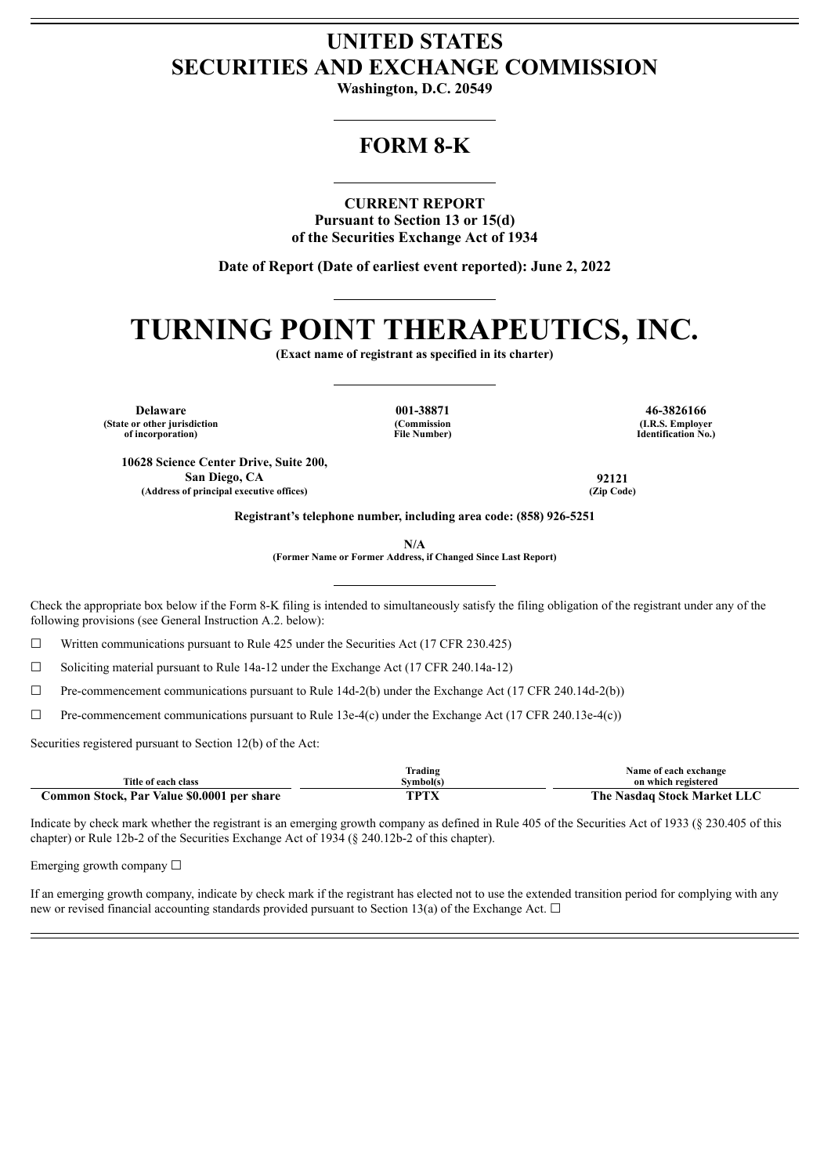## **UNITED STATES SECURITIES AND EXCHANGE COMMISSION**

**Washington, D.C. 20549**

### **FORM 8-K**

**CURRENT REPORT**

**Pursuant to Section 13 or 15(d) of the Securities Exchange Act of 1934**

**Date of Report (Date of earliest event reported): June 2, 2022**

## **TURNING POINT THERAPEUTICS, INC.**

**(Exact name of registrant as specified in its charter)**

**Delaware 001-38871 46-3826166 (State or other jurisdiction of incorporation)**

**(Commission File Number)**

**(I.R.S. Employer Identification No.)**

**10628 Science Center Drive, Suite 200, San Diego, CA 92121 (Address of principal executive offices) (Zip Code)**

**Registrant's telephone number, including area code: (858) 926-5251**

**N/A**

**(Former Name or Former Address, if Changed Since Last Report)**

Check the appropriate box below if the Form 8-K filing is intended to simultaneously satisfy the filing obligation of the registrant under any of the following provisions (see General Instruction A.2. below):

 $\Box$  Written communications pursuant to Rule 425 under the Securities Act (17 CFR 230.425)

☐ Soliciting material pursuant to Rule 14a-12 under the Exchange Act (17 CFR 240.14a-12)

 $\Box$  Pre-commencement communications pursuant to Rule 14d-2(b) under the Exchange Act (17 CFR 240.14d-2(b))

 $\Box$  Pre-commencement communications pursuant to Rule 13e-4(c) under the Exchange Act (17 CFR 240.13e-4(c))

Securities registered pursuant to Section 12(b) of the Act:

|                                            | Frading              | Name of each exchange       |
|--------------------------------------------|----------------------|-----------------------------|
| Title of each class                        | Symbol(s)            | on which registered         |
| Common Stock, Par Value \$0.0001 per share | TDTV<br>$\pm \Delta$ | The Nasdaq Stock Market LLC |

Indicate by check mark whether the registrant is an emerging growth company as defined in Rule 405 of the Securities Act of 1933 (§ 230.405 of this chapter) or Rule 12b-2 of the Securities Exchange Act of 1934 (§ 240.12b-2 of this chapter).

Emerging growth company  $\Box$ 

If an emerging growth company, indicate by check mark if the registrant has elected not to use the extended transition period for complying with any new or revised financial accounting standards provided pursuant to Section 13(a) of the Exchange Act.  $\Box$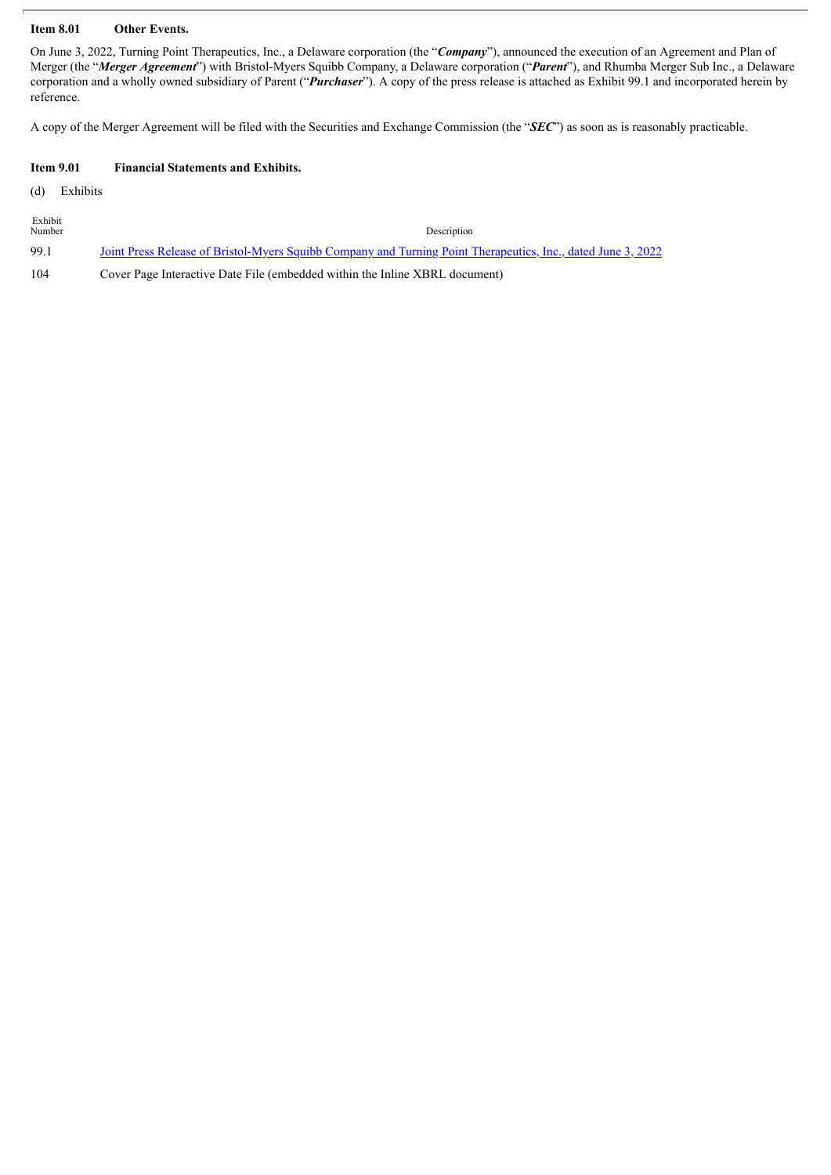#### **Item 8.01 Other Events.**

On June 3, 2022, Turning Point Therapeutics, Inc., a Delaware corporation (the "*Company*"), announced the execution of an Agreement and Plan of Merger (the "*Merger Agreement*") with Bristol-Myers Squibb Company, a Delaware corporation ("*Parent*"), and Rhumba Merger Sub Inc., a Delaware corporation and a wholly owned subsidiary of Parent ("*Purchaser*"). A copy of the press release is attached as Exhibit 99.1 and incorporated herein by reference.

A copy of the Merger Agreement will be filed with the Securities and Exchange Commission (the "*SEC*") as soon as is reasonably practicable.

#### **Item 9.01 Financial Statements and Exhibits.**

(d) Exhibits

| Exhibit<br>Number | Description                                                                                                         |  |
|-------------------|---------------------------------------------------------------------------------------------------------------------|--|
| 99.1              | <u>Joint Press Release of Bristol-Myers Squibb Company and Turning Point Therapeutics, Inc., dated June 3, 2022</u> |  |
| 104               | Cover Page Interactive Date File (embedded within the Inline XBRL document)                                         |  |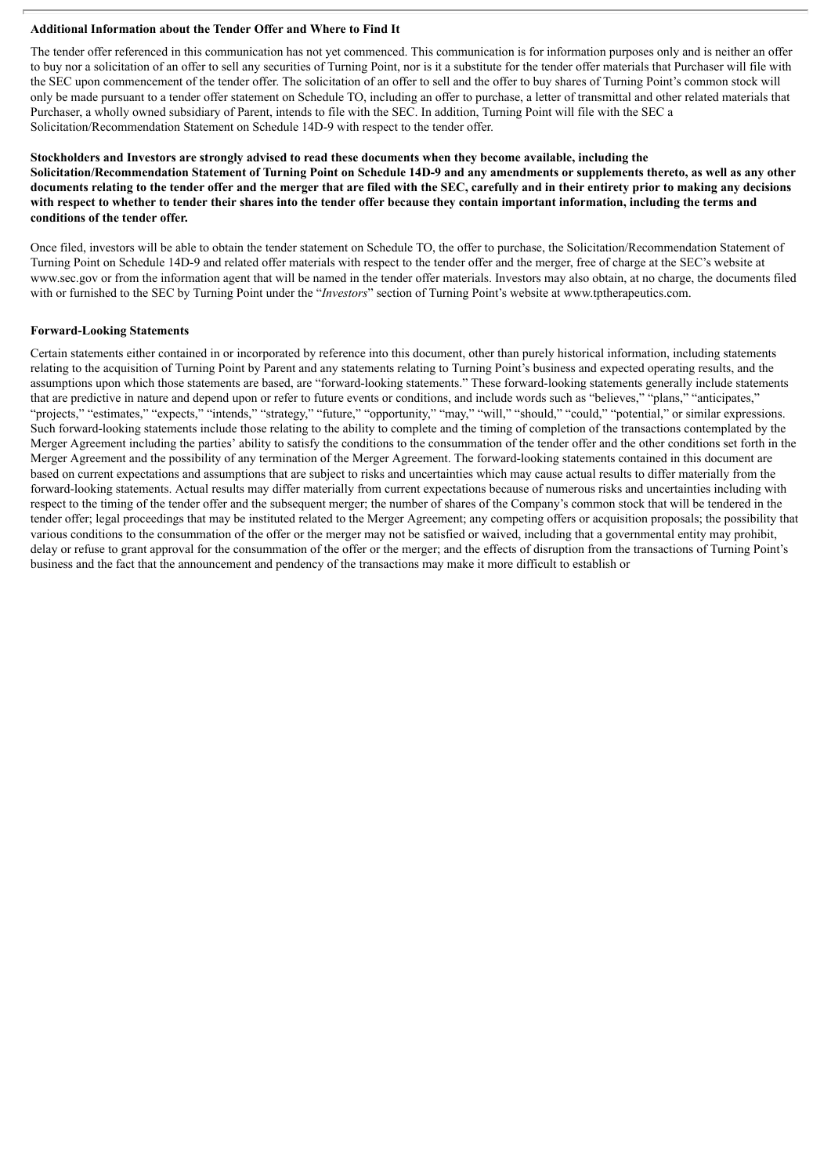#### **Additional Information about the Tender Offer and Where to Find It**

The tender offer referenced in this communication has not yet commenced. This communication is for information purposes only and is neither an offer to buy nor a solicitation of an offer to sell any securities of Turning Point, nor is it a substitute for the tender offer materials that Purchaser will file with the SEC upon commencement of the tender offer. The solicitation of an offer to sell and the offer to buy shares of Turning Point's common stock will only be made pursuant to a tender offer statement on Schedule TO, including an offer to purchase, a letter of transmittal and other related materials that Purchaser, a wholly owned subsidiary of Parent, intends to file with the SEC. In addition, Turning Point will file with the SEC a Solicitation/Recommendation Statement on Schedule 14D-9 with respect to the tender offer.

#### Stockholders and Investors are strongly advised to read these documents when they become available, including the Solicitation/Recommendation Statement of Turning Point on Schedule 14D-9 and any amendments or supplements thereto, as well as any other documents relating to the tender offer and the merger that are filed with the SEC, carefully and in their entirety prior to making any decisions with respect to whether to tender their shares into the tender offer because they contain important information, including the terms and **conditions of the tender offer.**

Once filed, investors will be able to obtain the tender statement on Schedule TO, the offer to purchase, the Solicitation/Recommendation Statement of Turning Point on Schedule 14D-9 and related offer materials with respect to the tender offer and the merger, free of charge at the SEC's website at www.sec.gov or from the information agent that will be named in the tender offer materials. Investors may also obtain, at no charge, the documents filed with or furnished to the SEC by Turning Point under the "*Investors*" section of Turning Point's website at www.tptherapeutics.com.

#### **Forward-Looking Statements**

Certain statements either contained in or incorporated by reference into this document, other than purely historical information, including statements relating to the acquisition of Turning Point by Parent and any statements relating to Turning Point's business and expected operating results, and the assumptions upon which those statements are based, are "forward-looking statements." These forward-looking statements generally include statements that are predictive in nature and depend upon or refer to future events or conditions, and include words such as "believes," "plans," "anticipates," "projects," "estimates," "expects," "intends," "strategy," "future," "opportunity," "may," "will," "should," "could," "potential," or similar expressions. Such forward-looking statements include those relating to the ability to complete and the timing of completion of the transactions contemplated by the Merger Agreement including the parties' ability to satisfy the conditions to the consummation of the tender offer and the other conditions set forth in the Merger Agreement and the possibility of any termination of the Merger Agreement. The forward-looking statements contained in this document are based on current expectations and assumptions that are subject to risks and uncertainties which may cause actual results to differ materially from the forward-looking statements. Actual results may differ materially from current expectations because of numerous risks and uncertainties including with respect to the timing of the tender offer and the subsequent merger; the number of shares of the Company's common stock that will be tendered in the tender offer; legal proceedings that may be instituted related to the Merger Agreement; any competing offers or acquisition proposals; the possibility that various conditions to the consummation of the offer or the merger may not be satisfied or waived, including that a governmental entity may prohibit, delay or refuse to grant approval for the consummation of the offer or the merger; and the effects of disruption from the transactions of Turning Point's business and the fact that the announcement and pendency of the transactions may make it more difficult to establish or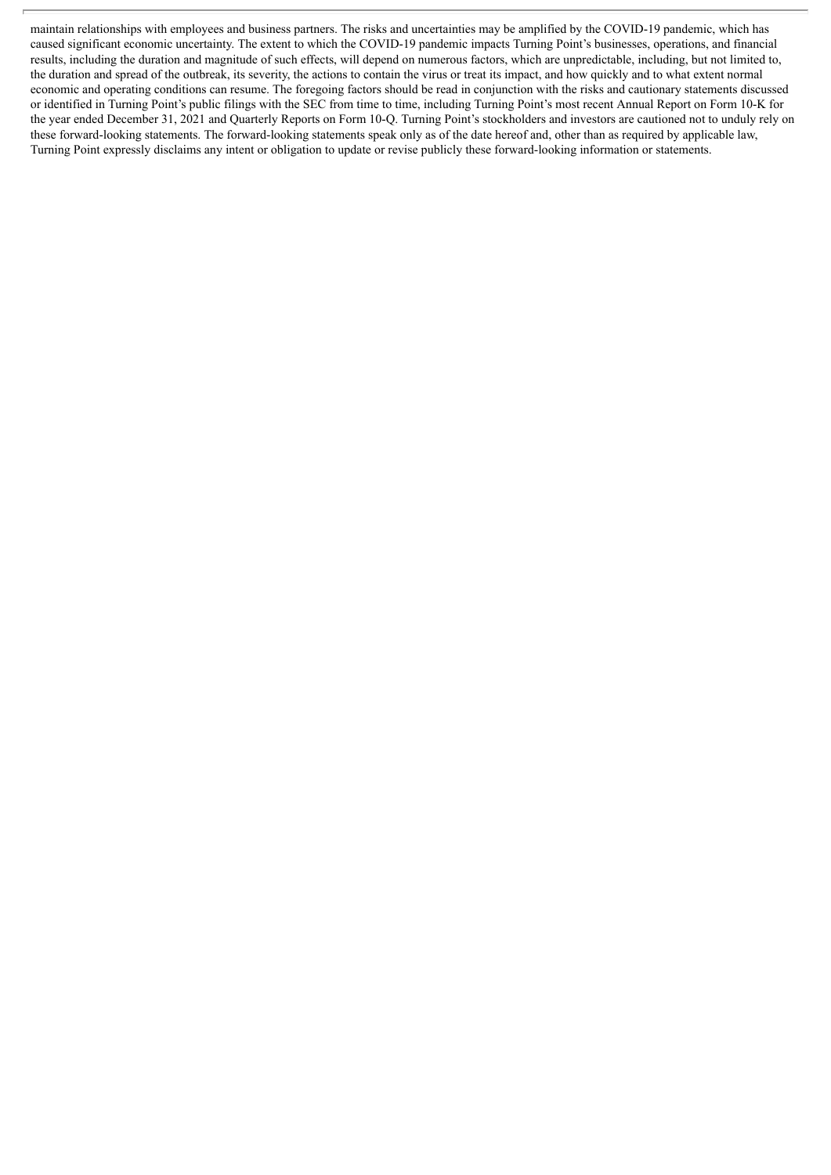maintain relationships with employees and business partners. The risks and uncertainties may be amplified by the COVID-19 pandemic, which has caused significant economic uncertainty. The extent to which the COVID-19 pandemic impacts Turning Point's businesses, operations, and financial results, including the duration and magnitude of such effects, will depend on numerous factors, which are unpredictable, including, but not limited to, the duration and spread of the outbreak, its severity, the actions to contain the virus or treat its impact, and how quickly and to what extent normal economic and operating conditions can resume. The foregoing factors should be read in conjunction with the risks and cautionary statements discussed or identified in Turning Point's public filings with the SEC from time to time, including Turning Point's most recent Annual Report on Form 10-K for the year ended December 31, 2021 and Quarterly Reports on Form 10-Q. Turning Point's stockholders and investors are cautioned not to unduly rely on these forward-looking statements. The forward-looking statements speak only as of the date hereof and, other than as required by applicable law, Turning Point expressly disclaims any intent or obligation to update or revise publicly these forward-looking information or statements.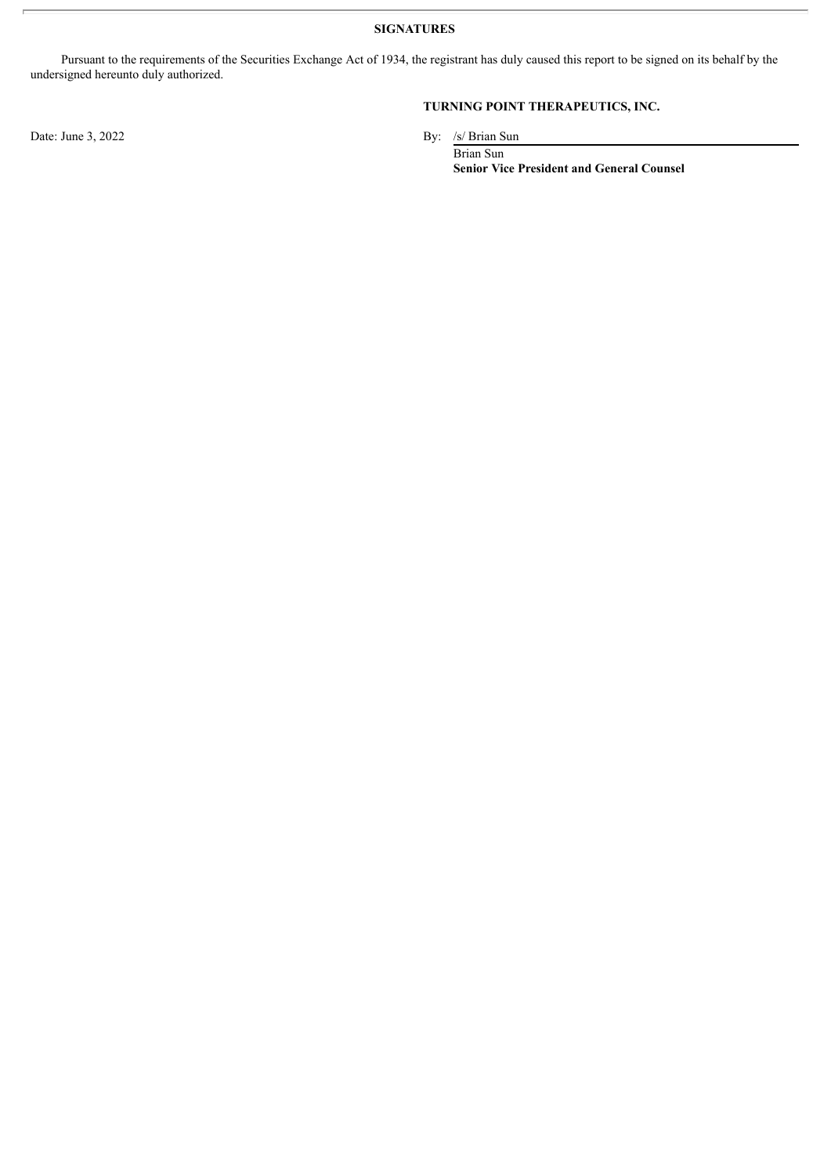**SIGNATURES**

Pursuant to the requirements of the Securities Exchange Act of 1934, the registrant has duly caused this report to be signed on its behalf by the undersigned hereunto duly authorized.

Date: June 3, 2022 By: /s/ Brian Sun

#### **TURNING POINT THERAPEUTICS, INC.**

Brian Sun **Senior Vice President and General Counsel**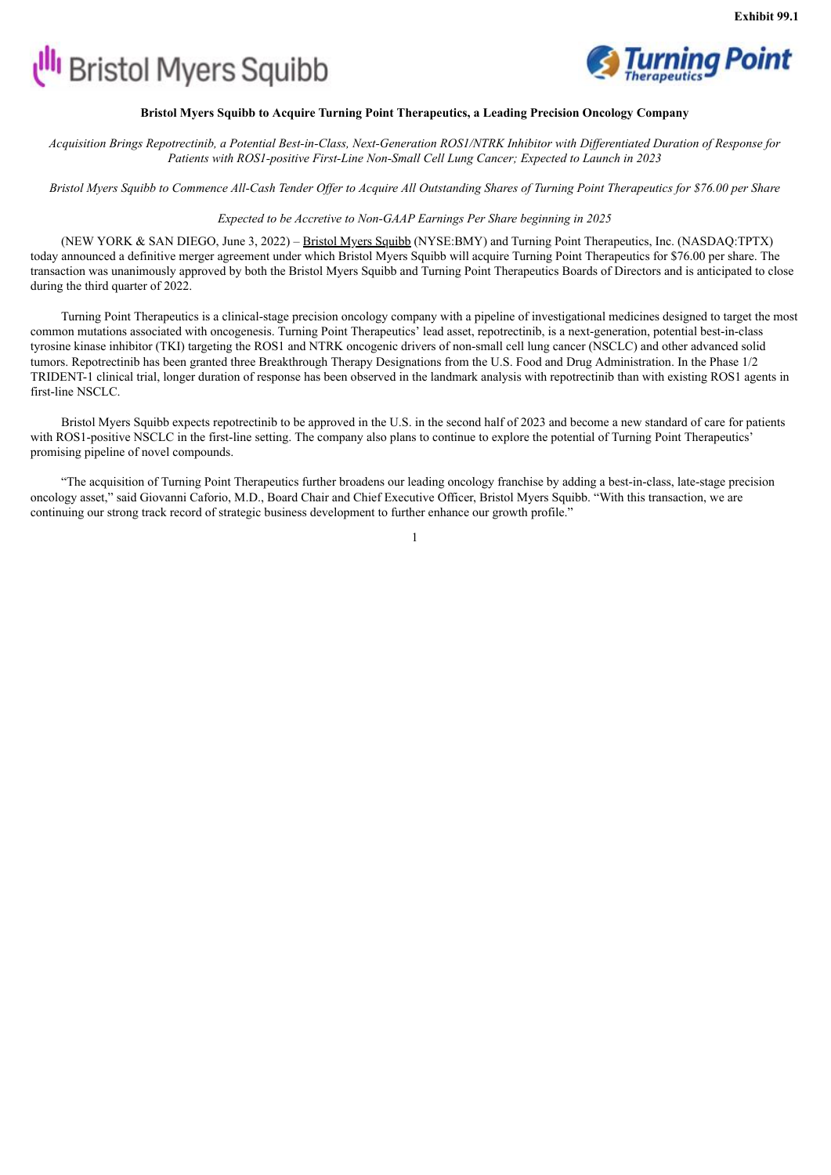# <span id="page-5-0"></span>**UII** Bristol Myers Squibb



#### **Bristol Myers Squibb to Acquire Turning Point Therapeutics, a Leading Precision Oncology Company**

Acquisition Brings Repotrectinib, a Potential Best-in-Class, Next-Generation ROS1/NTRK Inhibitor with Differentiated Duration of Response for *Patients with ROS1-positive First-Line Non-Small Cell Lung Cancer; Expected to Launch in 2023*

Bristol Myers Squibb to Commence All-Cash Tender Offer to Acquire All Outstanding Shares of Turning Point Therapeutics for \$76.00 per Share

*Expected to be Accretive to Non-GAAP Earnings Per Share beginning in 2025*

(NEW YORK & SAN DIEGO, June 3, 2022) – Bristol Myers Squibb (NYSE:BMY) and Turning Point Therapeutics, Inc. (NASDAQ:TPTX) today announced a definitive merger agreement under which Bristol Myers Squibb will acquire Turning Point Therapeutics for \$76.00 per share. The transaction was unanimously approved by both the Bristol Myers Squibb and Turning Point Therapeutics Boards of Directors and is anticipated to close during the third quarter of 2022.

Turning Point Therapeutics is a clinical-stage precision oncology company with a pipeline of investigational medicines designed to target the most common mutations associated with oncogenesis. Turning Point Therapeutics' lead asset, repotrectinib, is a next-generation, potential best-in-class tyrosine kinase inhibitor (TKI) targeting the ROS1 and NTRK oncogenic drivers of non-small cell lung cancer (NSCLC) and other advanced solid tumors. Repotrectinib has been granted three Breakthrough Therapy Designations from the U.S. Food and Drug Administration. In the Phase 1/2 TRIDENT-1 clinical trial, longer duration of response has been observed in the landmark analysis with repotrectinib than with existing ROS1 agents in first-line NSCLC.

Bristol Myers Squibb expects repotrectinib to be approved in the U.S. in the second half of 2023 and become a new standard of care for patients with ROS1-positive NSCLC in the first-line setting. The company also plans to continue to explore the potential of Turning Point Therapeutics' promising pipeline of novel compounds.

"The acquisition of Turning Point Therapeutics further broadens our leading oncology franchise by adding a best-in-class, late-stage precision oncology asset," said Giovanni Caforio, M.D., Board Chair and Chief Executive Officer, Bristol Myers Squibb. "With this transaction, we are continuing our strong track record of strategic business development to further enhance our growth profile."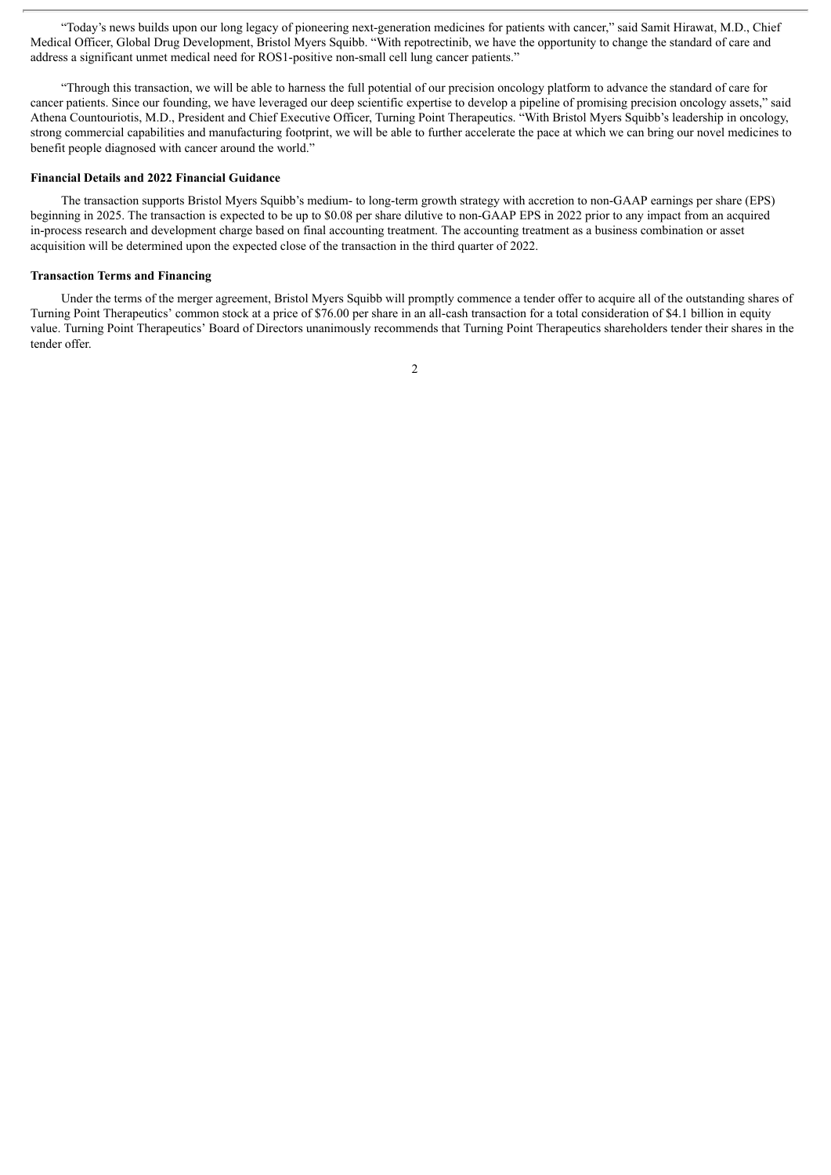"Today's news builds upon our long legacy of pioneering next-generation medicines for patients with cancer," said Samit Hirawat, M.D., Chief Medical Officer, Global Drug Development, Bristol Myers Squibb. "With repotrectinib, we have the opportunity to change the standard of care and address a significant unmet medical need for ROS1-positive non-small cell lung cancer patients."

"Through this transaction, we will be able to harness the full potential of our precision oncology platform to advance the standard of care for cancer patients. Since our founding, we have leveraged our deep scientific expertise to develop a pipeline of promising precision oncology assets," said Athena Countouriotis, M.D., President and Chief Executive Officer, Turning Point Therapeutics. "With Bristol Myers Squibb's leadership in oncology, strong commercial capabilities and manufacturing footprint, we will be able to further accelerate the pace at which we can bring our novel medicines to benefit people diagnosed with cancer around the world."

#### **Financial Details and 2022 Financial Guidance**

The transaction supports Bristol Myers Squibb's medium- to long-term growth strategy with accretion to non-GAAP earnings per share (EPS) beginning in 2025. The transaction is expected to be up to \$0.08 per share dilutive to non-GAAP EPS in 2022 prior to any impact from an acquired in-process research and development charge based on final accounting treatment. The accounting treatment as a business combination or asset acquisition will be determined upon the expected close of the transaction in the third quarter of 2022.

#### **Transaction Terms and Financing**

Under the terms of the merger agreement, Bristol Myers Squibb will promptly commence a tender offer to acquire all of the outstanding shares of Turning Point Therapeutics' common stock at a price of \$76.00 per share in an all-cash transaction for a total consideration of \$4.1 billion in equity value. Turning Point Therapeutics' Board of Directors unanimously recommends that Turning Point Therapeutics shareholders tender their shares in the tender offer.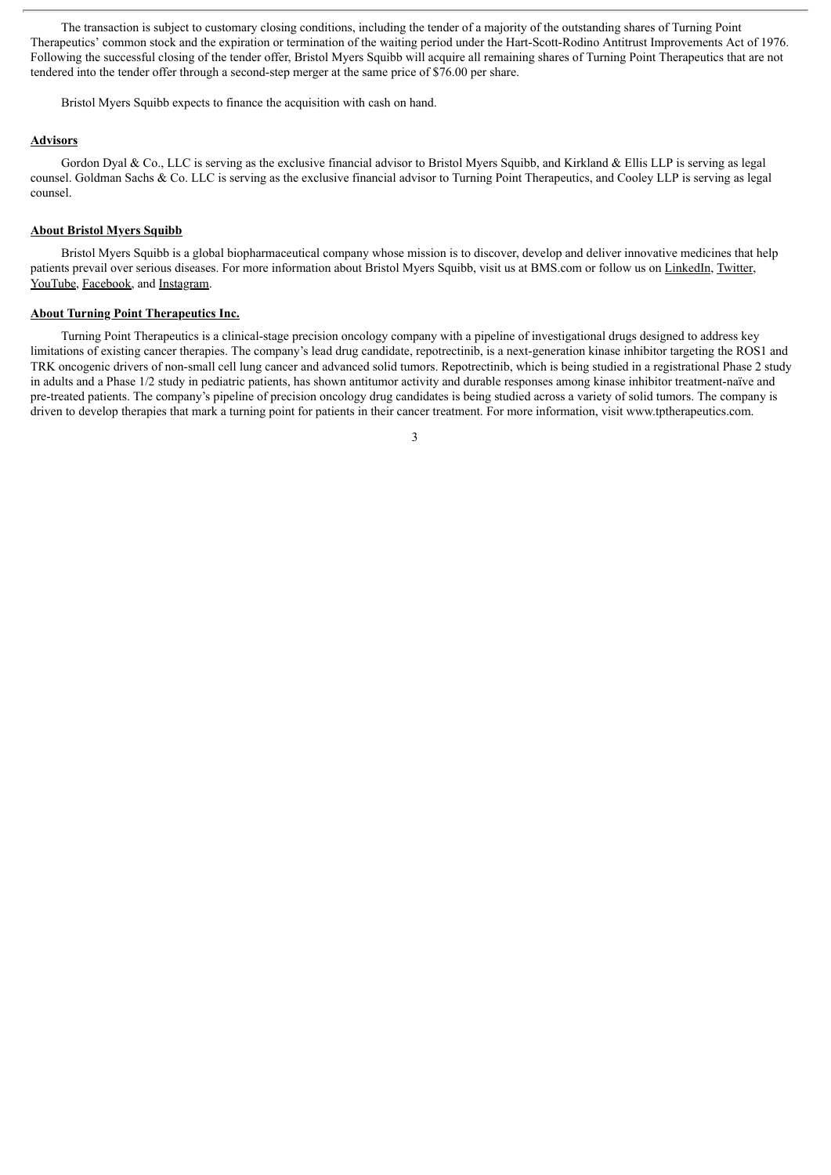The transaction is subject to customary closing conditions, including the tender of a majority of the outstanding shares of Turning Point Therapeutics' common stock and the expiration or termination of the waiting period under the Hart-Scott-Rodino Antitrust Improvements Act of 1976. Following the successful closing of the tender offer, Bristol Myers Squibb will acquire all remaining shares of Turning Point Therapeutics that are not tendered into the tender offer through a second-step merger at the same price of \$76.00 per share.

Bristol Myers Squibb expects to finance the acquisition with cash on hand.

#### **Advisors**

Gordon Dyal & Co., LLC is serving as the exclusive financial advisor to Bristol Myers Squibb, and Kirkland & Ellis LLP is serving as legal counsel. Goldman Sachs & Co. LLC is serving as the exclusive financial advisor to Turning Point Therapeutics, and Cooley LLP is serving as legal counsel.

#### **About Bristol Myers Squibb**

Bristol Myers Squibb is a global biopharmaceutical company whose mission is to discover, develop and deliver innovative medicines that help patients prevail over serious diseases. For more information about Bristol Myers Squibb, visit us at BMS.com or follow us on LinkedIn, Twitter, YouTube, Facebook, and Instagram.

#### **About Turning Point Therapeutics Inc.**

Turning Point Therapeutics is a clinical-stage precision oncology company with a pipeline of investigational drugs designed to address key limitations of existing cancer therapies. The company's lead drug candidate, repotrectinib, is a next-generation kinase inhibitor targeting the ROS1 and TRK oncogenic drivers of non-small cell lung cancer and advanced solid tumors. Repotrectinib, which is being studied in a registrational Phase 2 study in adults and a Phase 1/2 study in pediatric patients, has shown antitumor activity and durable responses among kinase inhibitor treatment-naïve and pre-treated patients. The company's pipeline of precision oncology drug candidates is being studied across a variety of solid tumors. The company is driven to develop therapies that mark a turning point for patients in their cancer treatment. For more information, visit www.tptherapeutics.com.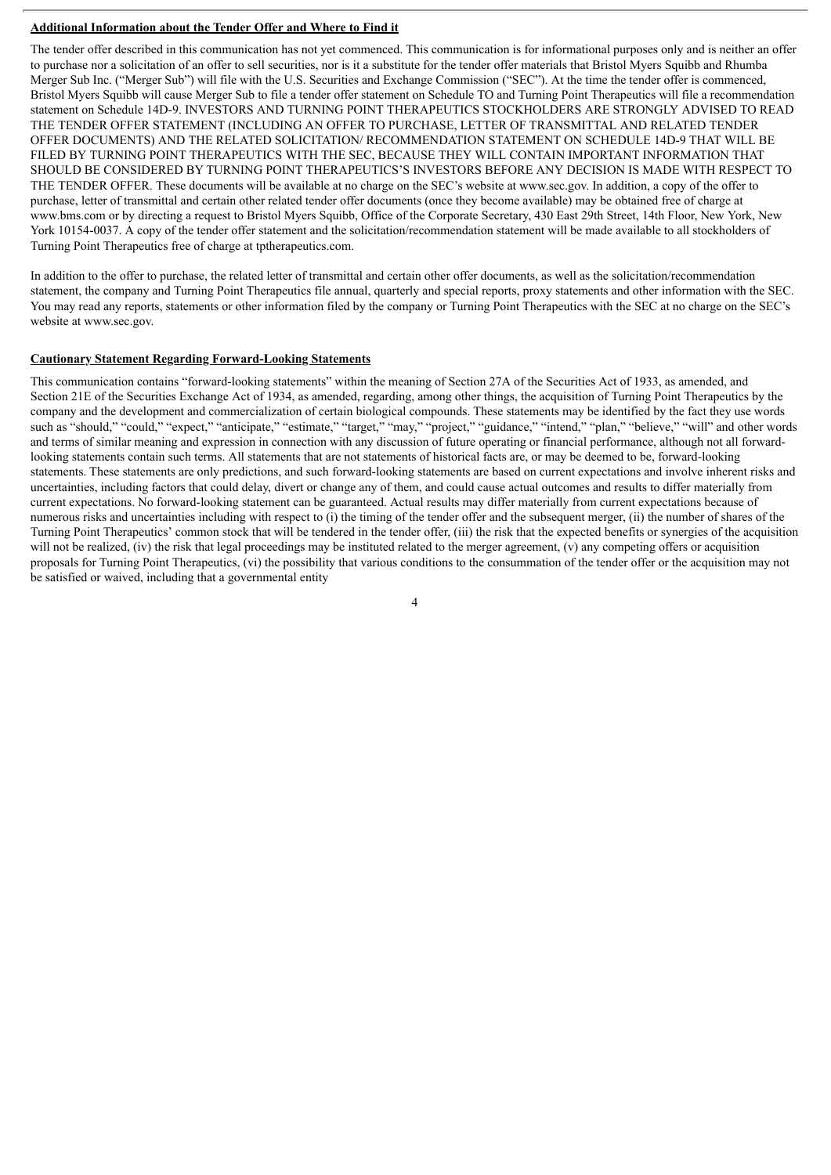#### **Additional Information about the Tender Offer and Where to Find it**

The tender offer described in this communication has not yet commenced. This communication is for informational purposes only and is neither an offer to purchase nor a solicitation of an offer to sell securities, nor is it a substitute for the tender offer materials that Bristol Myers Squibb and Rhumba Merger Sub Inc. ("Merger Sub") will file with the U.S. Securities and Exchange Commission ("SEC"). At the time the tender offer is commenced, Bristol Myers Squibb will cause Merger Sub to file a tender offer statement on Schedule TO and Turning Point Therapeutics will file a recommendation statement on Schedule 14D-9. INVESTORS AND TURNING POINT THERAPEUTICS STOCKHOLDERS ARE STRONGLY ADVISED TO READ THE TENDER OFFER STATEMENT (INCLUDING AN OFFER TO PURCHASE, LETTER OF TRANSMITTAL AND RELATED TENDER OFFER DOCUMENTS) AND THE RELATED SOLICITATION/ RECOMMENDATION STATEMENT ON SCHEDULE 14D-9 THAT WILL BE FILED BY TURNING POINT THERAPEUTICS WITH THE SEC, BECAUSE THEY WILL CONTAIN IMPORTANT INFORMATION THAT SHOULD BE CONSIDERED BY TURNING POINT THERAPEUTICS'S INVESTORS BEFORE ANY DECISION IS MADE WITH RESPECT TO THE TENDER OFFER. These documents will be available at no charge on the SEC's website at www.sec.gov. In addition, a copy of the offer to purchase, letter of transmittal and certain other related tender offer documents (once they become available) may be obtained free of charge at www.bms.com or by directing a request to Bristol Myers Squibb, Office of the Corporate Secretary, 430 East 29th Street, 14th Floor, New York, New York 10154-0037. A copy of the tender offer statement and the solicitation/recommendation statement will be made available to all stockholders of Turning Point Therapeutics free of charge at tptherapeutics.com.

In addition to the offer to purchase, the related letter of transmittal and certain other offer documents, as well as the solicitation/recommendation statement, the company and Turning Point Therapeutics file annual, quarterly and special reports, proxy statements and other information with the SEC. You may read any reports, statements or other information filed by the company or Turning Point Therapeutics with the SEC at no charge on the SEC's website at www.sec.gov.

#### **Cautionary Statement Regarding Forward-Looking Statements**

This communication contains "forward-looking statements" within the meaning of Section 27A of the Securities Act of 1933, as amended, and Section 21E of the Securities Exchange Act of 1934, as amended, regarding, among other things, the acquisition of Turning Point Therapeutics by the company and the development and commercialization of certain biological compounds. These statements may be identified by the fact they use words such as "should," "could," "expect," "anticipate," "estimate," "target," "may," "project," "guidance," "intend," "plan," "believe," "will" and other words and terms of similar meaning and expression in connection with any discussion of future operating or financial performance, although not all forwardlooking statements contain such terms. All statements that are not statements of historical facts are, or may be deemed to be, forward-looking statements. These statements are only predictions, and such forward-looking statements are based on current expectations and involve inherent risks and uncertainties, including factors that could delay, divert or change any of them, and could cause actual outcomes and results to differ materially from current expectations. No forward-looking statement can be guaranteed. Actual results may differ materially from current expectations because of numerous risks and uncertainties including with respect to (i) the timing of the tender offer and the subsequent merger, (ii) the number of shares of the Turning Point Therapeutics' common stock that will be tendered in the tender offer, (iii) the risk that the expected benefits or synergies of the acquisition will not be realized, (iv) the risk that legal proceedings may be instituted related to the merger agreement, (v) any competing offers or acquisition proposals for Turning Point Therapeutics, (vi) the possibility that various conditions to the consummation of the tender offer or the acquisition may not be satisfied or waived, including that a governmental entity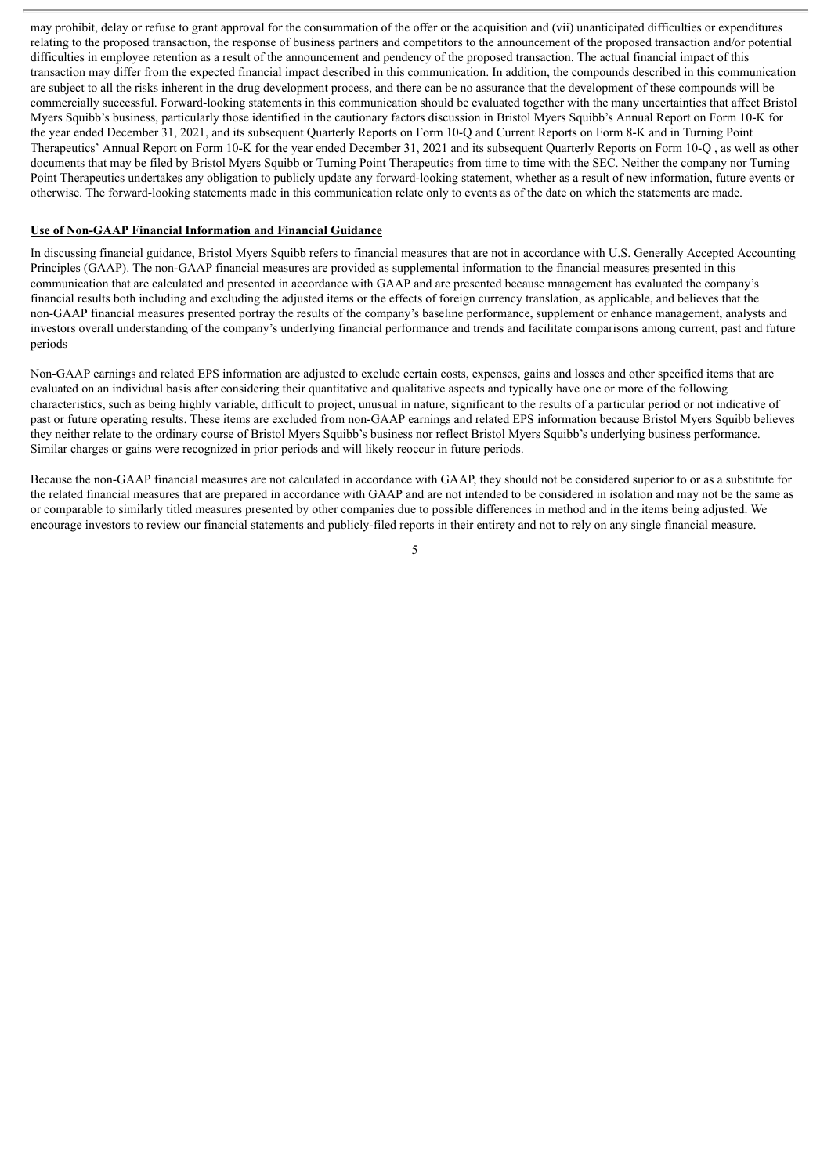may prohibit, delay or refuse to grant approval for the consummation of the offer or the acquisition and (vii) unanticipated difficulties or expenditures relating to the proposed transaction, the response of business partners and competitors to the announcement of the proposed transaction and/or potential difficulties in employee retention as a result of the announcement and pendency of the proposed transaction. The actual financial impact of this transaction may differ from the expected financial impact described in this communication. In addition, the compounds described in this communication are subject to all the risks inherent in the drug development process, and there can be no assurance that the development of these compounds will be commercially successful. Forward-looking statements in this communication should be evaluated together with the many uncertainties that affect Bristol Myers Squibb's business, particularly those identified in the cautionary factors discussion in Bristol Myers Squibb's Annual Report on Form 10-K for the year ended December 31, 2021, and its subsequent Quarterly Reports on Form 10-Q and Current Reports on Form 8-K and in Turning Point Therapeutics' Annual Report on Form 10-K for the year ended December 31, 2021 and its subsequent Quarterly Reports on Form 10-Q , as well as other documents that may be filed by Bristol Myers Squibb or Turning Point Therapeutics from time to time with the SEC. Neither the company nor Turning Point Therapeutics undertakes any obligation to publicly update any forward-looking statement, whether as a result of new information, future events or otherwise. The forward-looking statements made in this communication relate only to events as of the date on which the statements are made.

#### **Use of Non-GAAP Financial Information and Financial Guidance**

In discussing financial guidance, Bristol Myers Squibb refers to financial measures that are not in accordance with U.S. Generally Accepted Accounting Principles (GAAP). The non-GAAP financial measures are provided as supplemental information to the financial measures presented in this communication that are calculated and presented in accordance with GAAP and are presented because management has evaluated the company's financial results both including and excluding the adjusted items or the effects of foreign currency translation, as applicable, and believes that the non-GAAP financial measures presented portray the results of the company's baseline performance, supplement or enhance management, analysts and investors overall understanding of the company's underlying financial performance and trends and facilitate comparisons among current, past and future periods

Non-GAAP earnings and related EPS information are adjusted to exclude certain costs, expenses, gains and losses and other specified items that are evaluated on an individual basis after considering their quantitative and qualitative aspects and typically have one or more of the following characteristics, such as being highly variable, difficult to project, unusual in nature, significant to the results of a particular period or not indicative of past or future operating results. These items are excluded from non-GAAP earnings and related EPS information because Bristol Myers Squibb believes they neither relate to the ordinary course of Bristol Myers Squibb's business nor reflect Bristol Myers Squibb's underlying business performance. Similar charges or gains were recognized in prior periods and will likely reoccur in future periods.

Because the non-GAAP financial measures are not calculated in accordance with GAAP, they should not be considered superior to or as a substitute for the related financial measures that are prepared in accordance with GAAP and are not intended to be considered in isolation and may not be the same as or comparable to similarly titled measures presented by other companies due to possible differences in method and in the items being adjusted. We encourage investors to review our financial statements and publicly-filed reports in their entirety and not to rely on any single financial measure.